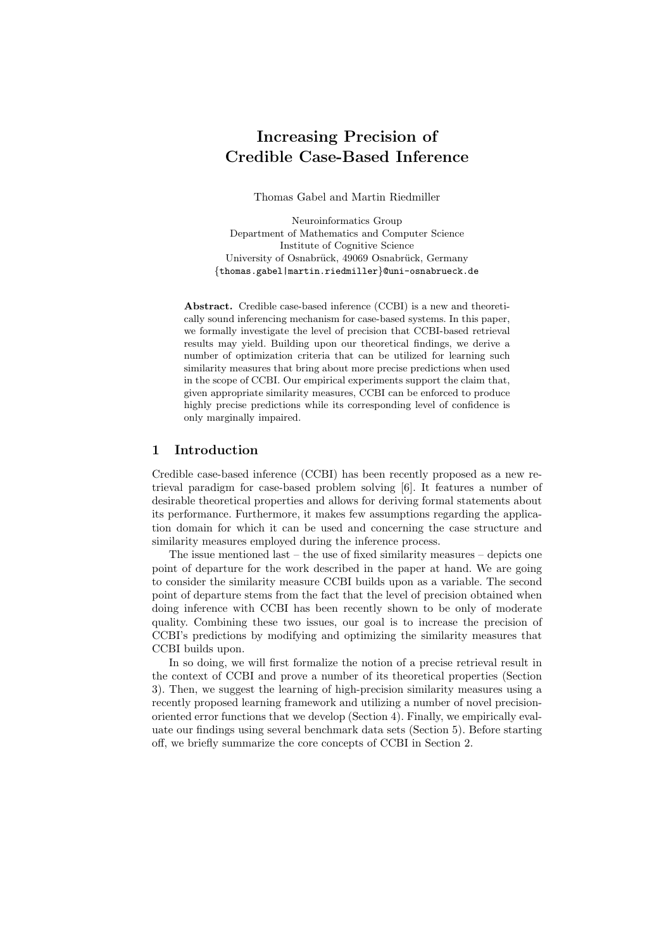# Increasing Precision of Credible Case-Based Inference

Thomas Gabel and Martin Riedmiller

Neuroinformatics Group Department of Mathematics and Computer Science Institute of Cognitive Science University of Osnabrück, 49069 Osnabrück, Germany {thomas.gabel|martin.riedmiller}@uni-osnabrueck.de

Abstract. Credible case-based inference (CCBI) is a new and theoretically sound inferencing mechanism for case-based systems. In this paper, we formally investigate the level of precision that CCBI-based retrieval results may yield. Building upon our theoretical findings, we derive a number of optimization criteria that can be utilized for learning such similarity measures that bring about more precise predictions when used in the scope of CCBI. Our empirical experiments support the claim that, given appropriate similarity measures, CCBI can be enforced to produce highly precise predictions while its corresponding level of confidence is only marginally impaired.

# 1 Introduction

Credible case-based inference (CCBI) has been recently proposed as a new retrieval paradigm for case-based problem solving [6]. It features a number of desirable theoretical properties and allows for deriving formal statements about its performance. Furthermore, it makes few assumptions regarding the application domain for which it can be used and concerning the case structure and similarity measures employed during the inference process.

The issue mentioned last – the use of fixed similarity measures – depicts one point of departure for the work described in the paper at hand. We are going to consider the similarity measure CCBI builds upon as a variable. The second point of departure stems from the fact that the level of precision obtained when doing inference with CCBI has been recently shown to be only of moderate quality. Combining these two issues, our goal is to increase the precision of CCBI's predictions by modifying and optimizing the similarity measures that CCBI builds upon.

In so doing, we will first formalize the notion of a precise retrieval result in the context of CCBI and prove a number of its theoretical properties (Section 3). Then, we suggest the learning of high-precision similarity measures using a recently proposed learning framework and utilizing a number of novel precisionoriented error functions that we develop (Section 4). Finally, we empirically evaluate our findings using several benchmark data sets (Section 5). Before starting off, we briefly summarize the core concepts of CCBI in Section 2.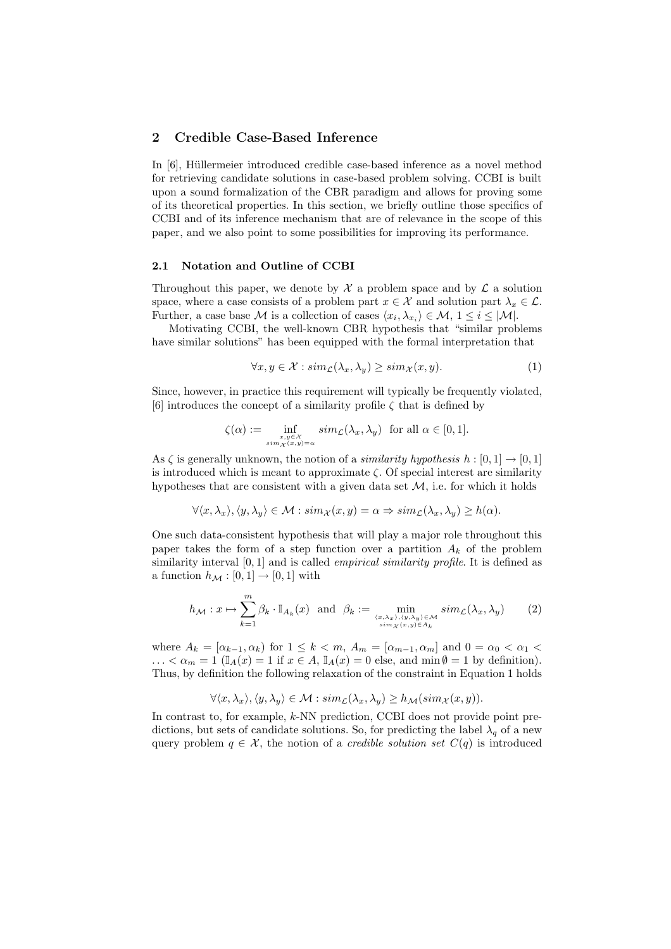## 2 Credible Case-Based Inference

In [6], Hüllermeier introduced credible case-based inference as a novel method for retrieving candidate solutions in case-based problem solving. CCBI is built upon a sound formalization of the CBR paradigm and allows for proving some of its theoretical properties. In this section, we briefly outline those specifics of CCBI and of its inference mechanism that are of relevance in the scope of this paper, and we also point to some possibilities for improving its performance.

## 2.1 Notation and Outline of CCBI

Throughout this paper, we denote by  $\mathcal X$  a problem space and by  $\mathcal L$  a solution space, where a case consists of a problem part  $x \in \mathcal{X}$  and solution part  $\lambda_x \in \mathcal{L}$ . Further, a case base M is a collection of cases  $\langle x_i, \lambda_{x_i} \rangle \in \mathcal{M}, 1 \leq i \leq |\mathcal{M}|.$ 

Motivating CCBI, the well-known CBR hypothesis that "similar problems have similar solutions" has been equipped with the formal interpretation that

$$
\forall x, y \in \mathcal{X} : sim_{\mathcal{L}}(\lambda_x, \lambda_y) \geq sim_{\mathcal{X}}(x, y). \tag{1}
$$

Since, however, in practice this requirement will typically be frequently violated, [6] introduces the concept of a similarity profile  $\zeta$  that is defined by

$$
\zeta(\alpha) := \inf_{\substack{x,y \in \mathcal{X} \\ \sin \chi(x,y)=\alpha}} \sin \mathcal{L}(\lambda_x, \lambda_y) \text{ for all } \alpha \in [0,1].
$$

As  $\zeta$  is generally unknown, the notion of a *similarity hypothesis*  $h : [0,1] \rightarrow [0,1]$ is introduced which is meant to approximate  $\zeta$ . Of special interest are similarity hypotheses that are consistent with a given data set  $M$ , i.e. for which it holds

$$
\forall \langle x, \lambda_x \rangle, \langle y, \lambda_y \rangle \in \mathcal{M} : \operatorname{sim}_{\mathcal{X}}(x, y) = \alpha \Rightarrow \operatorname{sim}_{\mathcal{L}}(\lambda_x, \lambda_y) \ge h(\alpha).
$$

One such data-consistent hypothesis that will play a major role throughout this paper takes the form of a step function over a partition  $A_k$  of the problem similarity interval  $[0, 1]$  and is called *empirical similarity profile*. It is defined as a function  $h_{\mathcal{M}} : [0, 1] \rightarrow [0, 1]$  with

$$
h_{\mathcal{M}}: x \mapsto \sum_{k=1}^{m} \beta_k \cdot \mathbb{I}_{A_k}(x) \text{ and } \beta_k := \min_{(x,\lambda_x), (y,\lambda_y) \in \mathcal{M} \atop \text{sim}_{\mathcal{X}}(x,y) \in A_k} \text{sim}_{\mathcal{L}}(\lambda_x, \lambda_y) \tag{2}
$$

where  $A_k = [\alpha_{k-1}, \alpha_k)$  for  $1 \leq k < m$ ,  $A_m = [\alpha_{m-1}, \alpha_m]$  and  $0 = \alpha_0 < \alpha_1 <$ ...  $\langle \alpha_m = 1 \rangle$  ( $\mathbb{I}_A(x) = 1$  if  $x \in A$ ,  $\mathbb{I}_A(x) = 0$  else, and min  $\emptyset = 1$  by definition). Thus, by definition the following relaxation of the constraint in Equation 1 holds

$$
\forall \langle x, \lambda_x \rangle, \langle y, \lambda_y \rangle \in \mathcal{M} : sim_{\mathcal{L}}(\lambda_x, \lambda_y) \geq h_{\mathcal{M}}(sim_{\mathcal{X}}(x, y)).
$$

In contrast to, for example, k-NN prediction, CCBI does not provide point predictions, but sets of candidate solutions. So, for predicting the label  $\lambda_q$  of a new query problem  $q \in \mathcal{X}$ , the notion of a *credible solution set*  $C(q)$  is introduced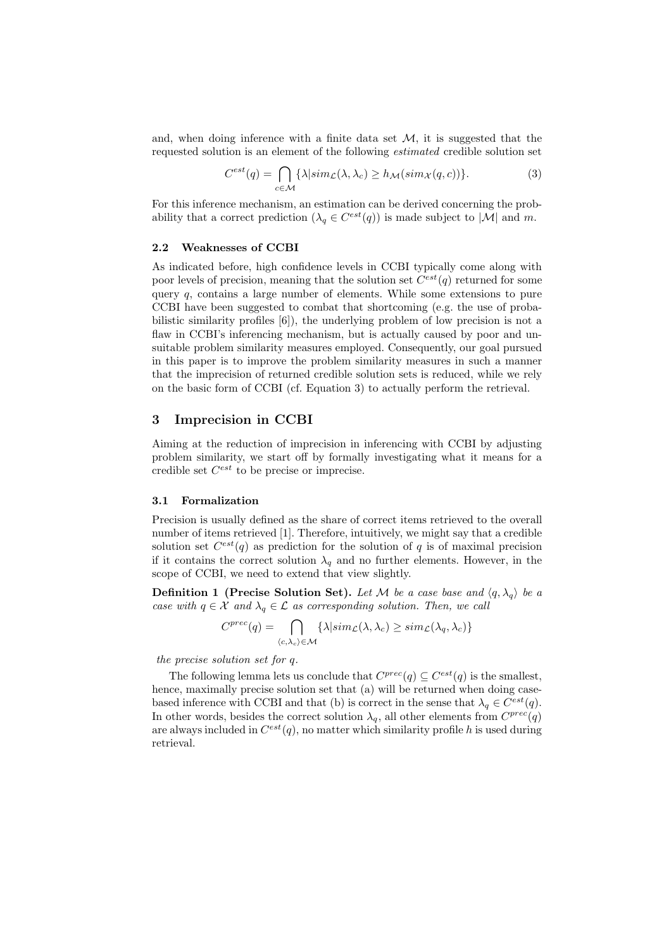and, when doing inference with a finite data set  $M$ , it is suggested that the requested solution is an element of the following estimated credible solution set

$$
C^{est}(q) = \bigcap_{c \in \mathcal{M}} \{ \lambda | sim_{\mathcal{L}}(\lambda, \lambda_c) \ge h_{\mathcal{M}}(sim_{\mathcal{X}}(q, c)) \}.
$$
 (3)

For this inference mechanism, an estimation can be derived concerning the probability that a correct prediction  $(\lambda_q \in C^{est}(q))$  is made subject to  $|\mathcal{M}|$  and m.

## 2.2 Weaknesses of CCBI

As indicated before, high confidence levels in CCBI typically come along with poor levels of precision, meaning that the solution set  $C^{est}(q)$  returned for some query q, contains a large number of elements. While some extensions to pure CCBI have been suggested to combat that shortcoming (e.g. the use of probabilistic similarity profiles [6]), the underlying problem of low precision is not a flaw in CCBI's inferencing mechanism, but is actually caused by poor and unsuitable problem similarity measures employed. Consequently, our goal pursued in this paper is to improve the problem similarity measures in such a manner that the imprecision of returned credible solution sets is reduced, while we rely on the basic form of CCBI (cf. Equation 3) to actually perform the retrieval.

## 3 Imprecision in CCBI

Aiming at the reduction of imprecision in inferencing with CCBI by adjusting problem similarity, we start off by formally investigating what it means for a credible set  $C^{est}$  to be precise or imprecise.

## 3.1 Formalization

Precision is usually defined as the share of correct items retrieved to the overall number of items retrieved [1]. Therefore, intuitively, we might say that a credible solution set  $C<sup>est</sup>(q)$  as prediction for the solution of q is of maximal precision if it contains the correct solution  $\lambda_q$  and no further elements. However, in the scope of CCBI, we need to extend that view slightly.

**Definition 1 (Precise Solution Set).** Let M be a case base and  $\langle q, \lambda_q \rangle$  be a case with  $q \in \mathcal{X}$  and  $\lambda_q \in \mathcal{L}$  as corresponding solution. Then, we call

$$
C^{prec}(q) = \bigcap_{\langle c, \lambda_c \rangle \in \mathcal{M}} \{ \lambda | sim_{\mathcal{L}}(\lambda, \lambda_c) \geq sim_{\mathcal{L}}(\lambda_q, \lambda_c) \}
$$

the precise solution set for q.

The following lemma lets us conclude that  $C^{prec}(q) \subseteq C^{est}(q)$  is the smallest, hence, maximally precise solution set that (a) will be returned when doing casebased inference with CCBI and that (b) is correct in the sense that  $\lambda_q \in C^{est}(q)$ . In other words, besides the correct solution  $\lambda_q$ , all other elements from  $C^{prec}(q)$ are always included in  $C^{est}(q)$ , no matter which similarity profile h is used during retrieval.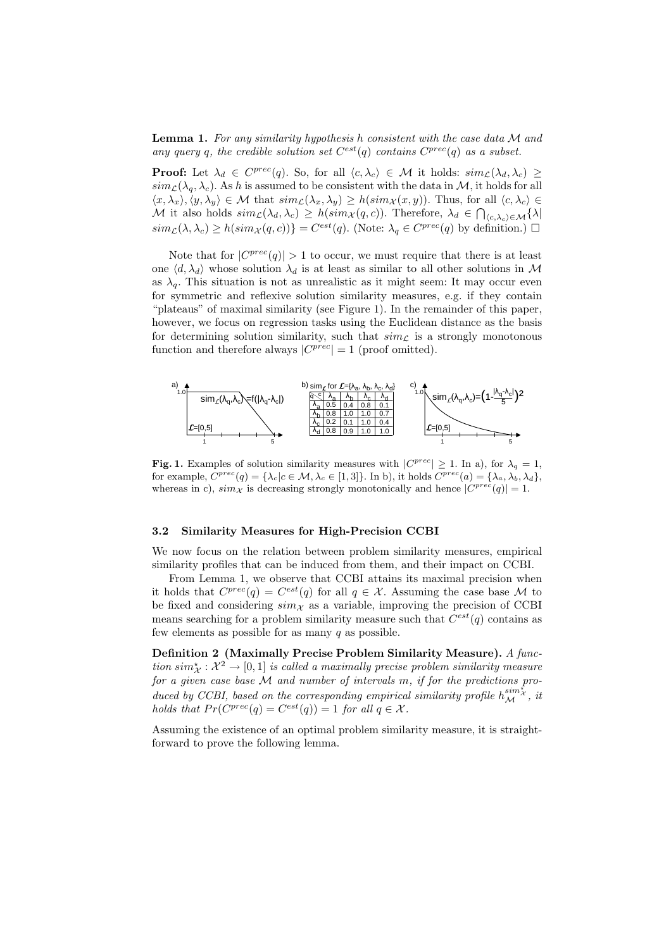**Lemma 1.** For any similarity hypothesis h consistent with the case data  $M$  and any query q, the credible solution set  $C^{est}(q)$  contains  $C^{prec}(q)$  as a subset.

**Proof:** Let  $\lambda_d \in C^{prec}(q)$ . So, for all  $\langle c, \lambda_c \rangle \in \mathcal{M}$  it holds:  $\text{sim}_{\mathcal{L}}(\lambda_d, \lambda_c) \geq$  $\sinh(\lambda_q, \lambda_c)$ . As h is assumed to be consistent with the data in M, it holds for all  $\langle x, \lambda_x \rangle, \langle y, \lambda_y \rangle \in \mathcal{M}$  that  $\text{sim}_\mathcal{L}(\lambda_x, \lambda_y) \geq h(\text{sim}_\mathcal{X}(x, y))$ . Thus, for all  $\langle c, \lambda_c \rangle \in$ M it also holds  $sim_{\mathcal{L}}(\lambda_d, \lambda_c) \geq h(sim_{\mathcal{X}}(q, c))$ . Therefore,  $\lambda_d \in \bigcap_{\langle c, \lambda_c \rangle \in \mathcal{M}} \{\lambda | c \in \bigcap_{\langle c, \lambda_c \rangle \in \mathcal{M}} \{\lambda \}$  $\dim_{\mathcal{L}}(\lambda, \lambda_c) \geq h(\text{sim}_{\mathcal{X}}(q, c)) = C^{est}(q)$ . (Note:  $\lambda_q \in C^{prec}(q)$  by definition.)  $\Box$ 

Note that for  $|C^{prec}(q)| > 1$  to occur, we must require that there is at least one  $\langle d, \lambda_d \rangle$  whose solution  $\lambda_d$  is at least as similar to all other solutions in M as  $\lambda_q$ . This situation is not as unrealistic as it might seem: It may occur even for symmetric and reflexive solution similarity measures, e.g. if they contain "plateaus" of maximal similarity (see Figure 1). In the remainder of this paper, however, we focus on regression tasks using the Euclidean distance as the basis for determining solution similarity, such that  $\sin \mathcal{L}$  is a strongly monotonous function and therefore always  $|C^{prec}| = 1$  (proof omitted).



Fig. 1. Examples of solution similarity measures with  $|C^{prec}| \ge 1$ . In a), for  $\lambda_q = 1$ , for example,  $C^{prec}(q) = {\lambda_c | c \in \mathcal{M}, \lambda_c \in [1,3]}$ . In b), it holds  $C^{prec}(a) = {\lambda_a, \lambda_b, \lambda_d},$ whereas in c),  $\sin x$  is decreasing strongly monotonically and hence  $|C^{prec}(q)| = 1$ .

## 3.2 Similarity Measures for High-Precision CCBI

We now focus on the relation between problem similarity measures, empirical similarity profiles that can be induced from them, and their impact on CCBI.

From Lemma 1, we observe that CCBI attains its maximal precision when it holds that  $C^{prec}(q) = C^{est}(q)$  for all  $q \in \mathcal{X}$ . Assuming the case base M to be fixed and considering  $\sin x$  as a variable, improving the precision of CCBI means searching for a problem similarity measure such that  $C^{est}(q)$  contains as few elements as possible for as many  $q$  as possible.

Definition 2 (Maximally Precise Problem Similarity Measure). A function  $\sin \chi : \mathcal{X}^2 \to [0,1]$  is called a maximally precise problem similarity measure for a given case base M and number of intervals m, if for the predictions produced by CCBI, based on the corresponding empirical similarity profile  $h_{\mathcal{M}}^{sim\ \tilde{\chi}}$ , it holds that  $Pr(C^{prec}(q) = C^{est}(q)) = 1$  for all  $q \in \mathcal{X}$ .

Assuming the existence of an optimal problem similarity measure, it is straightforward to prove the following lemma.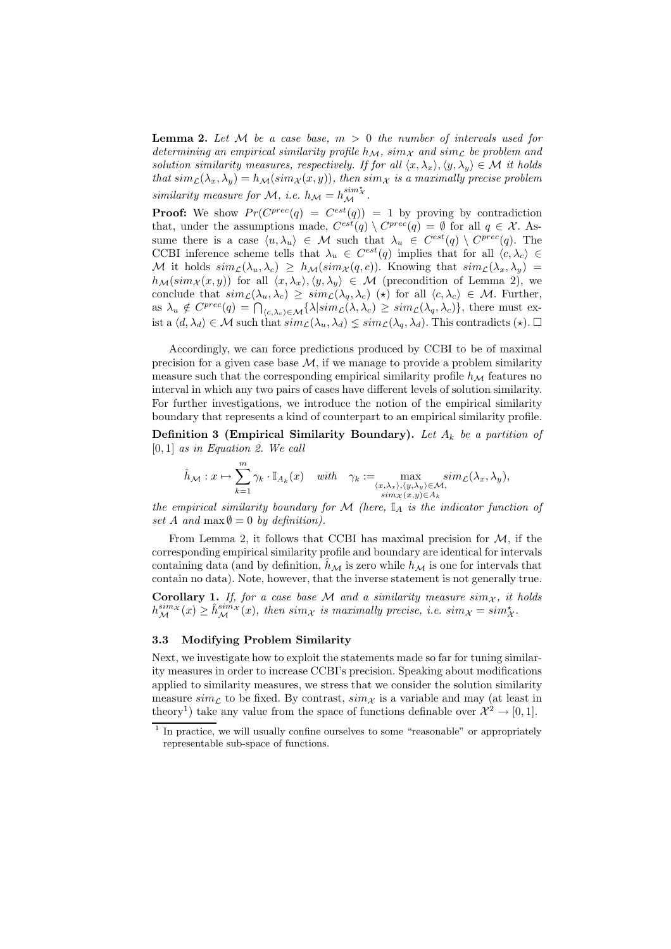**Lemma 2.** Let M be a case base,  $m > 0$  the number of intervals used for determining an empirical similarity profile  $h_{\mathcal{M}},$   $sim_{\mathcal{X}}$  and  $sim_{\mathcal{L}}$  be problem and solution similarity measures, respectively. If for all  $\langle x, \lambda_x \rangle, \langle y, \lambda_y \rangle \in \mathcal{M}$  it holds that  $\sinh_{\mathcal{L}}(\lambda_x, \lambda_y) = h_{\mathcal{M}}(\sinh_{\mathcal{X}}(x, y)),$  then  $\sinh_{\mathcal{X}}$  is a maximally precise problem similarity measure for M, i.e.  $h_{\mathcal{M}} = h_{\mathcal{M}}^{sim\star}$ .

**Proof:** We show  $Pr(C^{prec}(q) = C^{est}(q)) = 1$  by proving by contradiction that, under the assumptions made,  $C^{est}(q) \setminus C^{prec}(q) = \emptyset$  for all  $q \in \mathcal{X}$ . Assume there is a case  $\langle u, \lambda_u \rangle \in \mathcal{M}$  such that  $\lambda_u \in C^{est}(q) \setminus C^{prec}(q)$ . The CCBI inference scheme tells that  $\lambda_u \in C^{est}(q)$  implies that for all  $\langle c, \lambda_c \rangle \in$ M it holds  $\sinh(\lambda_u, \lambda_c) \geq h_{\mathcal{M}}(\sinh(\lambda_g, c))$ . Knowing that  $\sinh(\lambda_x, \lambda_y) =$  $h_{\mathcal{M}}(sim_{\mathcal{X}}(x, y))$  for all  $\langle x, \lambda_x\rangle, \langle y, \lambda_y\rangle \in \mathcal{M}$  (precondition of Lemma 2), we conclude that  $\text{sim}_{\mathcal{L}}(\lambda_u, \lambda_c) \geq \text{sim}_{\mathcal{L}}(\lambda_q, \lambda_c)$  (\*) for all  $\langle c, \lambda_c \rangle \in \mathcal{M}$ . Further, as  $\lambda_u \notin C^{prec}(q) = \bigcap_{\langle c, \lambda_c \rangle \in \mathcal{M}} \{\lambda | sim_{\mathcal{L}}(\lambda, \lambda_c) \geq sim_{\mathcal{L}}(\lambda_q, \lambda_c) \},\$  there must exist a  $\langle d, \lambda_d \rangle \in \mathcal{M}$  such that  $\text{sim}_{\mathcal{L}}(\lambda_u, \lambda_d) \leq \text{sim}_{\mathcal{L}}(\lambda_q, \lambda_d)$ . This contradicts  $(\star)$ .  $\Box$ 

Accordingly, we can force predictions produced by CCBI to be of maximal precision for a given case base  $M$ , if we manage to provide a problem similarity measure such that the corresponding empirical similarity profile  $h_{\mathcal{M}}$  features no interval in which any two pairs of cases have different levels of solution similarity. For further investigations, we introduce the notion of the empirical similarity boundary that represents a kind of counterpart to an empirical similarity profile.

Definition 3 (Empirical Similarity Boundary). Let  $A_k$  be a partition of [0, 1] as in Equation 2. We call

$$
\hat{h}_{\mathcal{M}}: x \mapsto \sum_{k=1}^{m} \gamma_k \cdot \mathbb{I}_{A_k}(x) \quad with \quad \gamma_k := \max_{\substack{\langle x, \lambda_x \rangle, \langle y, \lambda_y \rangle \in \mathcal{M}, \\ \operatorname{sim}_\mathcal{X}(x, y) \in A_k}} \operatorname{sim}_\mathcal{L}(\lambda_x, \lambda_y),
$$

the empirical similarity boundary for M (here,  $\mathbb{I}_A$  is the indicator function of set A and  $\max \emptyset = 0$  by definition).

From Lemma 2, it follows that CCBI has maximal precision for  $M$ , if the corresponding empirical similarity profile and boundary are identical for intervals containing data (and by definition,  $h_M$  is zero while  $h_M$  is one for intervals that contain no data). Note, however, that the inverse statement is not generally true.

Corollary 1. If, for a case base M and a similarity measure  $sim_X$ , it holds  $h_{\mathcal{M}}^{simx}(x) \geq \hat{h}_{\mathcal{M}}^{simx}(x)$ , then  $sim_{\mathcal{X}}$  is maximally precise, i.e.  $sim_{\mathcal{X}} = sim_{\mathcal{X}}^*$ .

### 3.3 Modifying Problem Similarity

Next, we investigate how to exploit the statements made so far for tuning similarity measures in order to increase CCBI's precision. Speaking about modifications applied to similarity measures, we stress that we consider the solution similarity measure  $\sin\theta$  to be fixed. By contrast,  $\sin\theta$  is a variable and may (at least in theory<sup>1</sup>) take any value from the space of functions definable over  $\mathcal{X}^2 \to [0,1].$ 

<sup>&</sup>lt;sup>1</sup> In practice, we will usually confine ourselves to some "reasonable" or appropriately representable sub-space of functions.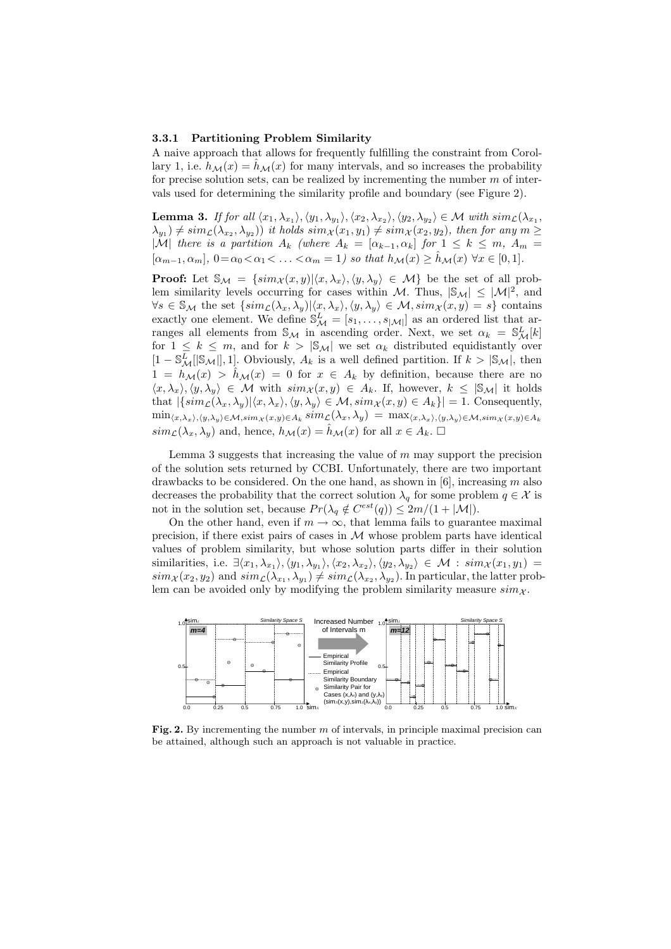#### 3.3.1 Partitioning Problem Similarity

A naive approach that allows for frequently fulfilling the constraint from Corollary 1, i.e.  $h_{\mathcal{M}}(x) = \hat{h}_{\mathcal{M}}(x)$  for many intervals, and so increases the probability for precise solution sets, can be realized by incrementing the number  $m$  of intervals used for determining the similarity profile and boundary (see Figure 2).

**Lemma 3.** If for all  $\langle x_1, \lambda_{x_1} \rangle$ ,  $\langle y_1, \lambda_{y_1} \rangle$ ,  $\langle x_2, \lambda_{x_2} \rangle$ ,  $\langle y_2, \lambda_{y_2} \rangle \in \mathcal{M}$  with  $\text{sim}_{\mathcal{L}}(\lambda_{x_1}, \lambda_{x_2})$ .  $(\lambda_{y_1}) \neq sim_{\mathcal{L}}(\lambda_{x_2}, \lambda_{y_2})$ ) it holds  $sim_{\mathcal{X}}(x_1, y_1) \neq sim_{\mathcal{X}}(x_2, y_2)$ , then for any  $m \geq$ |M| there is a partition  $A_k$  (where  $A_k = [\alpha_{k-1}, \alpha_k]$  for  $1 \leq k \leq m$ ,  $A_m =$  $[\alpha_{m-1}, \alpha_m], 0 = \alpha_0 < \alpha_1 < \ldots < \alpha_m = 1$ ) so that  $h_{\mathcal{M}}(x) \geq \hat{h}_{\mathcal{M}}(x) \ \forall x \in [0, 1].$ 

**Proof:** Let  $\mathbb{S}_{\mathcal{M}} = \{\sin(x, y) | \langle x, \lambda_x \rangle, \langle y, \lambda_y \rangle \in \mathcal{M}\}\)$  be the set of all problem similarity levels occurring for cases within M. Thus,  $|\mathbb{S}_{\mathcal{M}}| \leq |\mathcal{M}|^2$ , and  $\forall s \in \mathbb{S}_{\mathcal{M}}$  the set  $\{sim(\lambda_x, \lambda_y)|\langle x, \lambda_x\rangle, \langle y, \lambda_y\rangle \in \mathcal{M}, \, \text{sim}_\mathcal{X}(x, y) = s\}$  contains exactly one element. We define  $\mathbb{S}_{\mathcal{M}}^{L} = [s_1, \ldots, s_{|\mathcal{M}|}]$  as an ordered list that arranges all elements from  $\mathbb{S}_{\mathcal{M}}$  in ascending order. Next, we set  $\alpha_k = \mathbb{S}_{\mathcal{M}}^L[k]$ for  $1 \leq k \leq m$ , and for  $k > |\mathbb{S}_{\mathcal{M}}|$  we set  $\alpha_k$  distributed equidistantly over  $[1 - S^L_{\mathcal{M}} | S_{\mathcal{M}}|], 1]$ . Obviously,  $A_k$  is a well defined partition. If  $k > |S_{\mathcal{M}}|$ , then  $1 = h_{\mathcal{M}}(x) > h_{\mathcal{M}}(x) = 0$  for  $x \in A_k$  by definition, because there are no  $\langle x, \lambda_x \rangle, \langle y, \lambda_y \rangle \in \mathcal{M}$  with  $\operatorname{sim}_\mathcal{X} (x, y) \in A_k$ . If, however,  $k \leq |\mathbb{S}_\mathcal{M}|$  it holds that  $|\{sim(\lambda_x, \lambda_y)|\langle x, \lambda_x\rangle, \langle y, \lambda_y\rangle \in \mathcal{M}, \text{sim}_{\mathcal{X}}(x, y) \in A_k\}| = 1$ . Consequently,  $\min_{\langle x, \lambda_x \rangle, \langle y, \lambda_y \rangle \in \mathcal{M}, sim_\mathcal{X}(x,y) \in A_k} sim_\mathcal{L}(\lambda_x, \lambda_y) \ = \ \max_{\langle x, \lambda_x \rangle, \langle y, \lambda_y \rangle \in \mathcal{M}, sim_\mathcal{X}(x,y) \in A_k}$  $\lim_{\mathcal{L}}(\lambda_x, \lambda_y)$  and, hence,  $h_{\mathcal{M}}(x) = \hat{h}_{\mathcal{M}}(x)$  for all  $x \in A_k$ .

Lemma 3 suggests that increasing the value of  $m$  may support the precision of the solution sets returned by CCBI. Unfortunately, there are two important drawbacks to be considered. On the one hand, as shown in  $[6]$ , increasing m also decreases the probability that the correct solution  $\lambda_q$  for some problem  $q \in \mathcal{X}$  is not in the solution set, because  $Pr(\lambda_q \notin C^{est}(q)) \leq 2m/(1 + |\mathcal{M}|).$ 

On the other hand, even if  $m \to \infty$ , that lemma fails to guarantee maximal precision, if there exist pairs of cases in  $M$  whose problem parts have identical values of problem similarity, but whose solution parts differ in their solution similarities, i.e.  $\exists \langle x_1, \lambda_{x_1} \rangle, \langle y_1, \lambda_{y_1} \rangle, \langle x_2, \lambda_{x_2} \rangle, \langle y_2, \lambda_{y_2} \rangle \in \mathcal{M} : sim_{\mathcal{X}}(x_1, y_1) =$  $\dim_{\mathcal{X}}(x_2, y_2)$  and  $\dim_{\mathcal{L}}(\lambda_{x_1}, \lambda_{y_1}) \neq \dim_{\mathcal{L}}(\lambda_{x_2}, \lambda_{y_2})$ . In particular, the latter problem can be avoided only by modifying the problem similarity measure  $\sin x$ .



Fig. 2. By incrementing the number  $m$  of intervals, in principle maximal precision can be attained, although such an approach is not valuable in practice.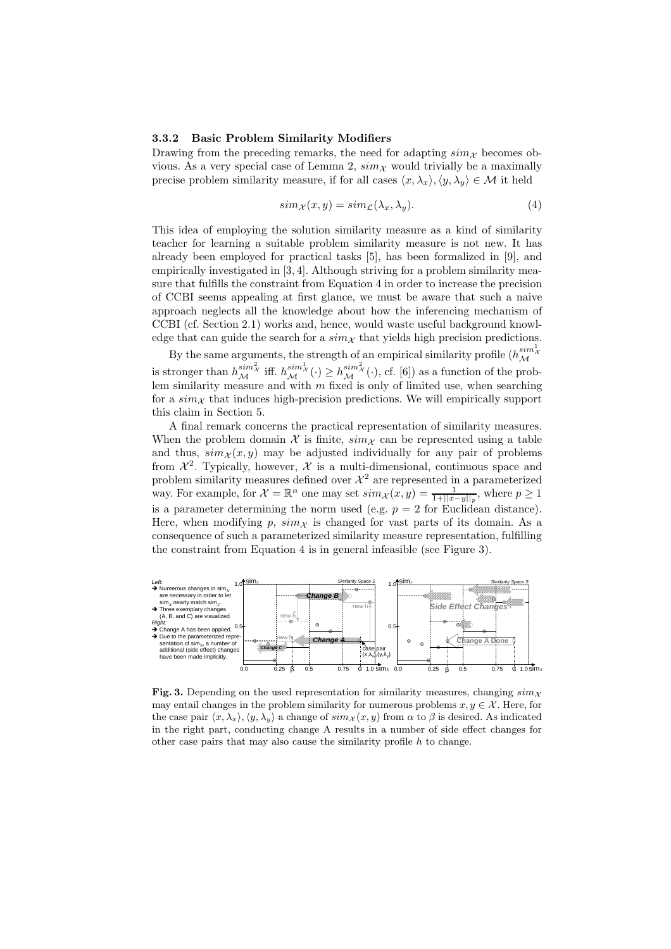#### 3.3.2 Basic Problem Similarity Modifiers

Drawing from the preceding remarks, the need for adapting  $\sin x$  becomes obvious. As a very special case of Lemma 2,  $\sin x$  would trivially be a maximally precise problem similarity measure, if for all cases  $\langle x, \lambda_x \rangle, \langle y, \lambda_y \rangle \in \mathcal{M}$  it held

$$
sim_{\mathcal{X}}(x, y) = sim_{\mathcal{L}}(\lambda_x, \lambda_y).
$$
\n(4)

This idea of employing the solution similarity measure as a kind of similarity teacher for learning a suitable problem similarity measure is not new. It has already been employed for practical tasks [5], has been formalized in [9], and empirically investigated in [3, 4]. Although striving for a problem similarity measure that fulfills the constraint from Equation 4 in order to increase the precision of CCBI seems appealing at first glance, we must be aware that such a naive approach neglects all the knowledge about how the inferencing mechanism of CCBI (cf. Section 2.1) works and, hence, would waste useful background knowledge that can guide the search for a  $\sin x$  that yields high precision predictions.

By the same arguments, the strength of an empirical similarity profile  $(h_{\mathcal{M}}^{sim_{\mathcal{X}}^{1}}$ is stronger than  $h_{\mathcal{M}}^{sim_{\mathcal{X}}^{2}}$  iff.  $h_{\mathcal{M}}^{sim_{\mathcal{X}}}(\cdot) \geq h_{\mathcal{M}}^{sim_{\mathcal{X}}^{2}}(\cdot)$ , cf. [6]) as a function of the problem similarity measure and with  $m$  fixed is only of limited use, when searching for a  $\sin x$  that induces high-precision predictions. We will empirically support this claim in Section 5.

A final remark concerns the practical representation of similarity measures. When the problem domain X is finite,  $\sin x$  can be represented using a table and thus,  $\sinh(x, y)$  may be adjusted individually for any pair of problems from  $\mathcal{X}^2$ . Typically, however,  $\mathcal X$  is a multi-dimensional, continuous space and problem similarity measures defined over  $\mathcal{X}^2$  are represented in a parameterized way. For example, for  $\mathcal{X} = \mathbb{R}^n$  one may set  $\text{sim}_{\mathcal{X}}(x, y) = \frac{1}{1 + ||x - y||_p}$ , where  $p \ge 1$ is a parameter determining the norm used (e.g.  $p = 2$  for Euclidean distance). Here, when modifying p,  $\sin x$  is changed for vast parts of its domain. As a consequence of such a parameterized similarity measure representation, fulfilling the constraint from Equation 4 is in general infeasible (see Figure 3).



Fig. 3. Depending on the used representation for similarity measures, changing  $\sin x$ may entail changes in the problem similarity for numerous problems  $x, y \in \mathcal{X}$ . Here, for the case pair  $\langle x, \lambda_x \rangle$ ,  $\langle y, \lambda_y \rangle$  a change of  $\sin \chi(x, y)$  from  $\alpha$  to  $\beta$  is desired. As indicated in the right part, conducting change A results in a number of side effect changes for other case pairs that may also cause the similarity profile h to change.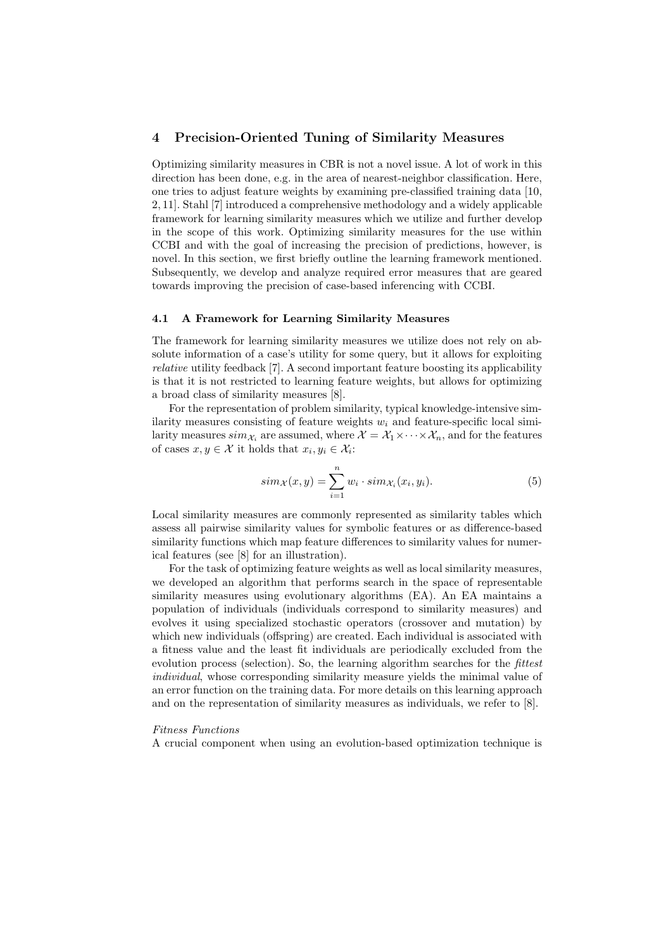## 4 Precision-Oriented Tuning of Similarity Measures

Optimizing similarity measures in CBR is not a novel issue. A lot of work in this direction has been done, e.g. in the area of nearest-neighbor classification. Here, one tries to adjust feature weights by examining pre-classified training data [10, 2, 11]. Stahl [7] introduced a comprehensive methodology and a widely applicable framework for learning similarity measures which we utilize and further develop in the scope of this work. Optimizing similarity measures for the use within CCBI and with the goal of increasing the precision of predictions, however, is novel. In this section, we first briefly outline the learning framework mentioned. Subsequently, we develop and analyze required error measures that are geared towards improving the precision of case-based inferencing with CCBI.

#### 4.1 A Framework for Learning Similarity Measures

The framework for learning similarity measures we utilize does not rely on absolute information of a case's utility for some query, but it allows for exploiting relative utility feedback [7]. A second important feature boosting its applicability is that it is not restricted to learning feature weights, but allows for optimizing a broad class of similarity measures [8].

For the representation of problem similarity, typical knowledge-intensive similarity measures consisting of feature weights  $w_i$  and feature-specific local similarity measures  $sim_{\mathcal{X}_i}$  are assumed, where  $\mathcal{X} = \mathcal{X}_1 \times \cdots \times \mathcal{X}_n$ , and for the features of cases  $x, y \in \mathcal{X}$  it holds that  $x_i, y_i \in \mathcal{X}_i$ :

$$
sim_{\mathcal{X}}(x,y) = \sum_{i=1}^{n} w_i \cdot sim_{\mathcal{X}_i}(x_i, y_i). \tag{5}
$$

Local similarity measures are commonly represented as similarity tables which assess all pairwise similarity values for symbolic features or as difference-based similarity functions which map feature differences to similarity values for numerical features (see [8] for an illustration).

For the task of optimizing feature weights as well as local similarity measures, we developed an algorithm that performs search in the space of representable similarity measures using evolutionary algorithms (EA). An EA maintains a population of individuals (individuals correspond to similarity measures) and evolves it using specialized stochastic operators (crossover and mutation) by which new individuals (offspring) are created. Each individual is associated with a fitness value and the least fit individuals are periodically excluded from the evolution process (selection). So, the learning algorithm searches for the *fittest* individual, whose corresponding similarity measure yields the minimal value of an error function on the training data. For more details on this learning approach and on the representation of similarity measures as individuals, we refer to [8].

#### Fitness Functions

A crucial component when using an evolution-based optimization technique is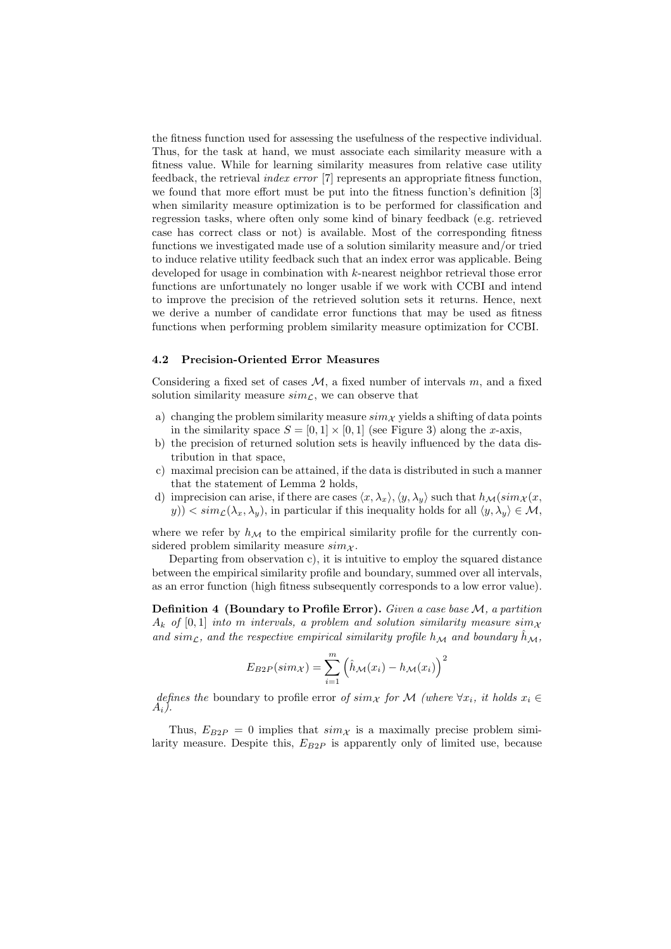the fitness function used for assessing the usefulness of the respective individual. Thus, for the task at hand, we must associate each similarity measure with a fitness value. While for learning similarity measures from relative case utility feedback, the retrieval index error [7] represents an appropriate fitness function, we found that more effort must be put into the fitness function's definition [3] when similarity measure optimization is to be performed for classification and regression tasks, where often only some kind of binary feedback (e.g. retrieved case has correct class or not) is available. Most of the corresponding fitness functions we investigated made use of a solution similarity measure and/or tried to induce relative utility feedback such that an index error was applicable. Being developed for usage in combination with k-nearest neighbor retrieval those error functions are unfortunately no longer usable if we work with CCBI and intend to improve the precision of the retrieved solution sets it returns. Hence, next we derive a number of candidate error functions that may be used as fitness functions when performing problem similarity measure optimization for CCBI.

#### 4.2 Precision-Oriented Error Measures

Considering a fixed set of cases  $\mathcal{M}$ , a fixed number of intervals m, and a fixed solution similarity measure  $\text{sim}_{\mathcal{L}}$ , we can observe that

- a) changing the problem similarity measure  $\sin\chi$  yields a shifting of data points in the similarity space  $S = [0, 1] \times [0, 1]$  (see Figure 3) along the *x*-axis,
- b) the precision of returned solution sets is heavily influenced by the data distribution in that space,
- c) maximal precision can be attained, if the data is distributed in such a manner that the statement of Lemma 2 holds,
- d) imprecision can arise, if there are cases  $\langle x, \lambda_x \rangle, \langle y, \lambda_y \rangle$  such that  $h_{\mathcal{M}}(sim_{\mathcal{X}}(x,$  $y$ )  $\langle \, \text{sim}_{\mathcal{L}}(\lambda_x, \lambda_y), \, \text{in particular if this inequality holds for all } \langle y, \lambda_y \rangle \in \mathcal{M},$

where we refer by  $h_{\mathcal{M}}$  to the empirical similarity profile for the currently considered problem similarity measure  $\sin x$ .

Departing from observation c), it is intuitive to employ the squared distance between the empirical similarity profile and boundary, summed over all intervals, as an error function (high fitness subsequently corresponds to a low error value).

**Definition 4 (Boundary to Profile Error).** Given a case base  $M$ , a partition  $A_k$  of [0,1] into m intervals, a problem and solution similarity measure sim $\chi$ and sim<sub>C</sub>, and the respective empirical similarity profile  $h_{\mathcal{M}}$  and boundary  $\hat{h}_{\mathcal{M}}$ ,

$$
E_{B2P}(sim_{\mathcal{X}}) = \sum_{i=1}^{m} (\hat{h}_{\mathcal{M}}(x_i) - h_{\mathcal{M}}(x_i))^{2}
$$

defines the boundary to profile error of sim<sub>X</sub> for M (where  $\forall x_i$ , it holds  $x_i \in$  $A_i$ ).

Thus,  $E_{B2P} = 0$  implies that  $\sin x$  is a maximally precise problem similarity measure. Despite this,  $E_{B2P}$  is apparently only of limited use, because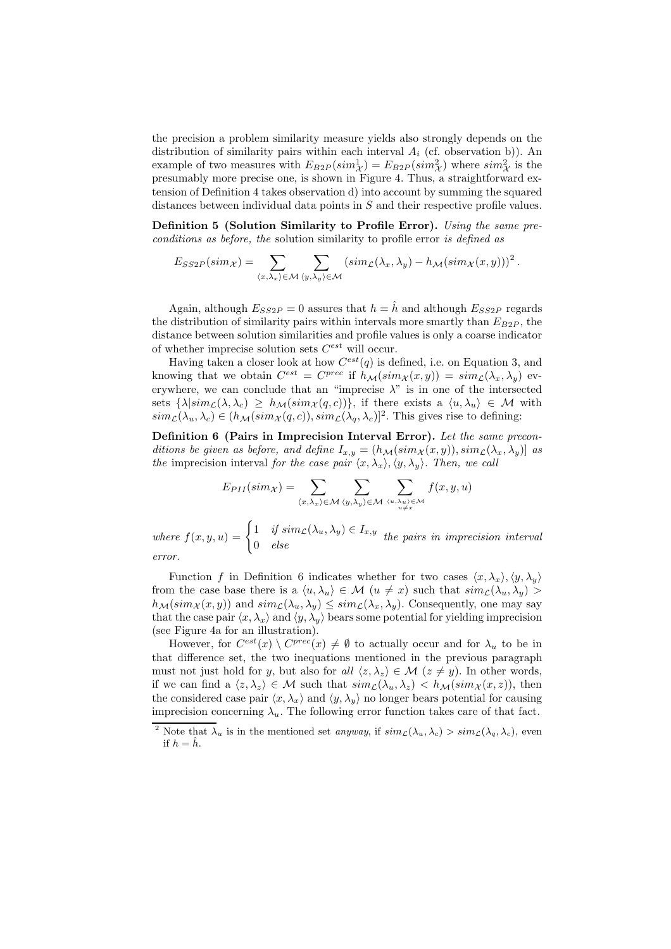the precision a problem similarity measure yields also strongly depends on the distribution of similarity pairs within each interval  $A_i$  (cf. observation b)). An example of two measures with  $E_{B2P}(sim_X^1) = E_{B2P}(sim_X^2)$  where  $sim_X^2$  is the presumably more precise one, is shown in Figure 4. Thus, a straightforward extension of Definition 4 takes observation d) into account by summing the squared distances between individual data points in  $S$  and their respective profile values.

Definition 5 (Solution Similarity to Profile Error). Using the same preconditions as before, the solution similarity to profile error is defined as

$$
E_{SS2P}(sim_{\mathcal{X}}) = \sum_{\langle x,\lambda_x\rangle \in \mathcal{M}} \sum_{\langle y,\lambda_y\rangle \in \mathcal{M}} (sim_{\mathcal{L}}(\lambda_x,\lambda_y) - h_{\mathcal{M}}(sim_{\mathcal{X}}(x,y)))^2.
$$

Again, although  $E_{SS2P} = 0$  assures that  $h = \hat{h}$  and although  $E_{SS2P}$  regards the distribution of similarity pairs within intervals more smartly than  $E_{B2P}$ , the distance between solution similarities and profile values is only a coarse indicator of whether imprecise solution sets  $C^{est}$  will occur.

Having taken a closer look at how  $C^{est}(q)$  is defined, i.e. on Equation 3, and knowing that we obtain  $C^{est} = C^{prec}$  if  $h_{\mathcal{M}}(sim_{\mathcal{X}}(x, y)) = sim_{\mathcal{L}}(\lambda_x, \lambda_y)$  everywhere, we can conclude that an "imprecise  $\lambda$ " is in one of the intersected sets  $\{\lambda \mid \text{sim}_{\mathcal{L}}(\lambda, \lambda_c) \geq h_{\mathcal{M}}(\text{sim}_{\mathcal{X}}(q, c))\},$  if there exists a  $\langle u, \lambda_u \rangle \in \mathcal{M}$  with  $\dim_{\mathcal{L}}(\lambda_u, \lambda_c) \in (h_{\mathcal{M}}(\text{sim}_{\mathcal{X}}(q, c)), \text{sim}_{\mathcal{L}}(\lambda_q, \lambda_c))^2$ . This gives rise to defining:

Definition 6 (Pairs in Imprecision Interval Error). Let the same preconditions be given as before, and define  $I_{x,y} = (h_{\mathcal{M}}(sim_{\mathcal{X}}(x, y)), sim_{\mathcal{L}}(\lambda_x, \lambda_y))$  as the imprecision interval for the case pair  $\langle x, \lambda_x \rangle, \langle y, \lambda_y \rangle$ . Then, we call

$$
E_{PII}(sim_{\mathcal{X}}) = \sum_{\langle x, \lambda_x \rangle \in \mathcal{M}} \sum_{\langle y, \lambda_y \rangle \in \mathcal{M}} \sum_{\langle u, \lambda_u \rangle \in \mathcal{M}} f(x, y, u)
$$

where  $f(x, y, u) = \begin{cases} 1 & \text{if } \operatorname{sim}_{\mathcal{L}}(\lambda_u, \lambda_y) \in I_{x,y} \end{cases}$  $\begin{aligned} \n\frac{d}{dx} \cos \left( \frac{\partial u}{\partial y} \right) \cos \left( \frac{\partial u}{\partial x} \right) \sin \left( \frac{\partial u}{\partial y} \right) \sin \left( \frac{\partial u}{\partial y} \right) \sin \left( \frac{\partial u}{\partial y} \right) \sin \left( \frac{\partial u}{\partial y} \right) \sin \left( \frac{\partial u}{\partial y} \right) \sin \left( \frac{\partial u}{\partial y} \right) \sin \left( \frac{\partial u}{\partial y} \right) \sin \left( \frac{\partial u}{\partial y} \right) \sin \left( \frac{\partial u}{\partial y} \right) \sin \left( \frac{\$ error.

Function f in Definition 6 indicates whether for two cases  $\langle x, \lambda_x \rangle, \langle y, \lambda_y \rangle$ from the case base there is a  $\langle u, \lambda_u \rangle \in \mathcal{M}$   $(u \neq x)$  such that  $\text{sim}_{\mathcal{L}}(\lambda_u, \lambda_v)$  $h_{\mathcal{M}}(sim_{\mathcal{X}}(x, y))$  and  $sim_{\mathcal{L}}(\lambda_u, \lambda_y) \leq sim_{\mathcal{L}}(\lambda_x, \lambda_y)$ . Consequently, one may say that the case pair  $\langle x, \lambda_x \rangle$  and  $\langle y, \lambda_y \rangle$  bears some potential for yielding imprecision (see Figure 4a for an illustration).

However, for  $C^{est}(x) \setminus C^{prec}(x) \neq \emptyset$  to actually occur and for  $\lambda_u$  to be in that difference set, the two inequations mentioned in the previous paragraph must not just hold for y, but also for all  $\langle z, \lambda_z \rangle \in \mathcal{M}$   $(z \neq y)$ . In other words, if we can find a  $\langle z, \lambda_z \rangle \in \mathcal{M}$  such that  $\text{sim}_\mathcal{L}(\lambda_u, \lambda_z) < h_\mathcal{M}(\text{sim}_\mathcal{X}(x, z))$ , then the considered case pair  $\langle x, \lambda_x \rangle$  and  $\langle y, \lambda_y \rangle$  no longer bears potential for causing imprecision concerning  $\lambda_u$ . The following error function takes care of that fact.

<sup>&</sup>lt;sup>2</sup> Note that  $\lambda_u$  is in the mentioned set anyway, if  $\text{sim}_{\mathcal{L}}(\lambda_u, \lambda_c) > \text{sim}_{\mathcal{L}}(\lambda_q, \lambda_c)$ , even if  $h = \hat{h}$ .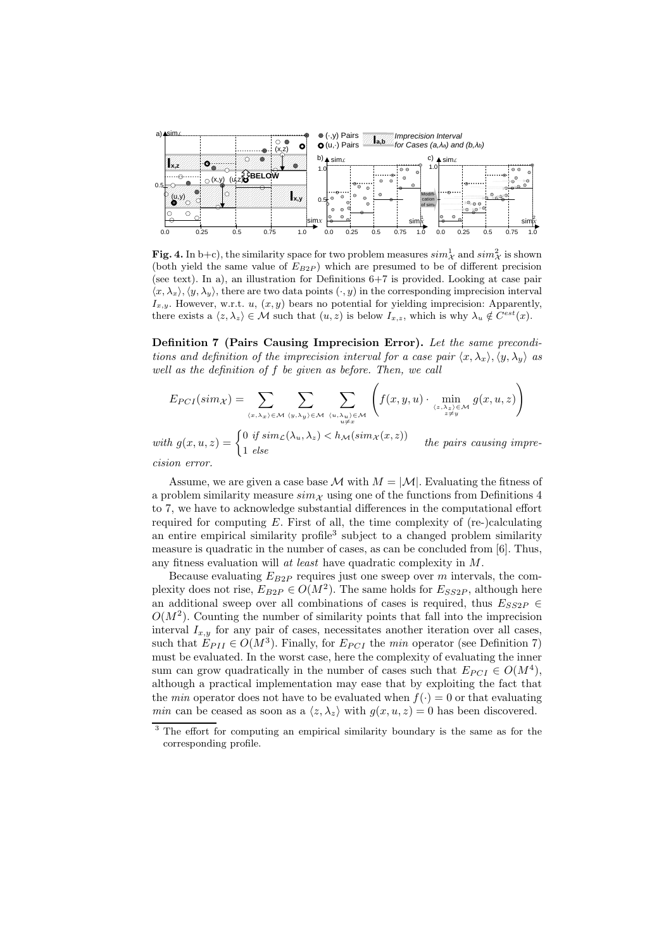

Fig. 4. In b+c), the similarity space for two problem measures  $\sin^1_{\mathcal{X}}$  and  $\sin^2_{\mathcal{X}}$  is shown (both yield the same value of  $E_{B2P}$ ) which are presumed to be of different precision (see text). In a), an illustration for Definitions 6+7 is provided. Looking at case pair  $\langle x, \lambda_x \rangle$ ,  $\langle y, \lambda_y \rangle$ , there are two data points  $(\cdot, y)$  in the corresponding imprecision interval  $I_{x,y}$ . However, w.r.t. u,  $(x, y)$  bears no potential for yielding imprecision: Apparently, there exists a  $\langle z, \lambda_z \rangle \in \mathcal{M}$  such that  $(u, z)$  is below  $I_{x,z}$ , which is why  $\lambda_u \notin C^{est}(x)$ .

Definition 7 (Pairs Causing Imprecision Error). Let the same preconditions and definition of the imprecision interval for a case pair  $\langle x, \lambda_x \rangle, \langle y, \lambda_y \rangle$  as well as the definition of f be given as before. Then, we call

$$
E_{PCI}(sim_{\mathcal{X}}) = \sum_{\langle x, \lambda_x \rangle \in \mathcal{M}} \sum_{\langle y, \lambda_y \rangle \in \mathcal{M}} \sum_{\langle u, \lambda_y \rangle \in \mathcal{M}} \left( f(x, y, u) \cdot \min_{\substack{\langle z, \lambda_z \rangle \in \mathcal{M} \\ z \neq y}} g(x, u, z) \right)
$$

with  $g(x, u, z) = \begin{cases} 0 & \text{if } \operatorname{sim}_{\mathcal{L}}(\lambda_u, \lambda_z) < h_{\mathcal{M}}(\operatorname{sim}_{\mathcal{X}}(x, z)) \\ 1 & \text{if } \operatorname{sim}_{\mathcal{L}}(\lambda_u, \lambda_z) \end{cases}$ 1 else the pairs causing imprecision error.

Assume, we are given a case base M with  $M = |M|$ . Evaluating the fitness of a problem similarity measure  $\sin\chi$  using one of the functions from Definitions 4 to 7, we have to acknowledge substantial differences in the computational effort required for computing  $E$ . First of all, the time complexity of (re-)calculating an entire empirical similarity profile<sup>3</sup> subject to a changed problem similarity measure is quadratic in the number of cases, as can be concluded from [6]. Thus, any fitness evaluation will at least have quadratic complexity in M.

Because evaluating  $E_{B2P}$  requires just one sweep over m intervals, the complexity does not rise,  $E_{B2P} \in O(M^2)$ . The same holds for  $E_{SS2P}$ , although here an additional sweep over all combinations of cases is required, thus  $E_{SS2P} \in$  $O(M^2)$ . Counting the number of similarity points that fall into the imprecision interval  $I_{x,y}$  for any pair of cases, necessitates another iteration over all cases, such that  $E_{PII} \in O(M^3)$ . Finally, for  $E_{PCI}$  the min operator (see Definition 7) must be evaluated. In the worst case, here the complexity of evaluating the inner sum can grow quadratically in the number of cases such that  $E_{PCI} \in O(M^4)$ , although a practical implementation may ease that by exploiting the fact that the *min* operator does not have to be evaluated when  $f(\cdot) = 0$  or that evaluating min can be ceased as soon as a  $\langle z, \lambda_z \rangle$  with  $g(x, u, z) = 0$  has been discovered.

<sup>&</sup>lt;sup>3</sup> The effort for computing an empirical similarity boundary is the same as for the corresponding profile.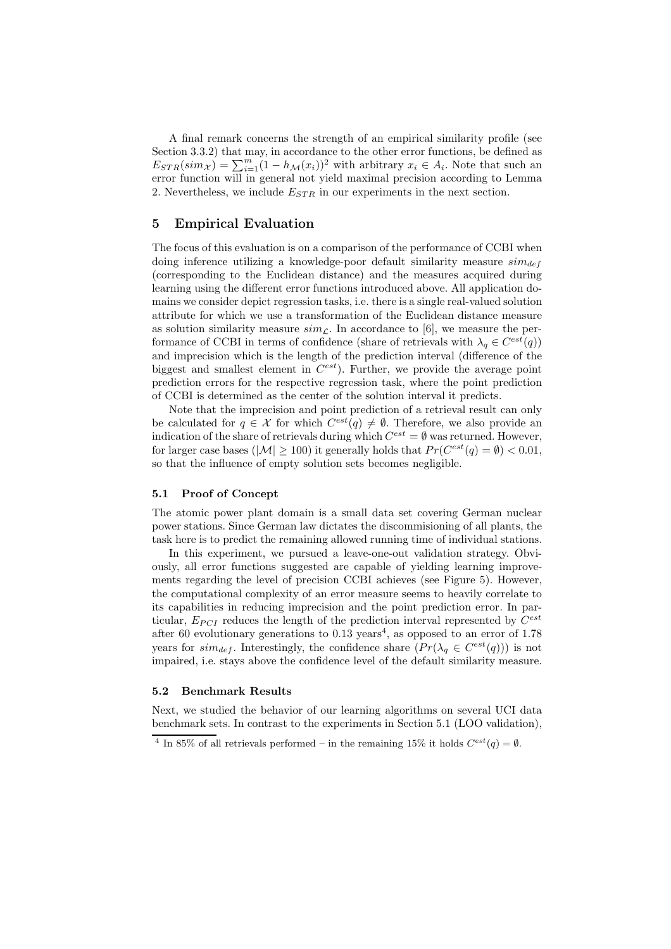A final remark concerns the strength of an empirical similarity profile (see Section 3.3.2) that may, in accordance to the other error functions, be defined as  $E_{STR}(sim_X) = \sum_{i=1}^{m} (1 - h_{\mathcal{M}}(x_i))^2$  with arbitrary  $x_i \in A_i$ . Note that such an error function will in general not yield maximal precision according to Lemma 2. Nevertheless, we include  $E_{STR}$  in our experiments in the next section.

# 5 Empirical Evaluation

The focus of this evaluation is on a comparison of the performance of CCBI when doing inference utilizing a knowledge-poor default similarity measure  $sim_{def}$ (corresponding to the Euclidean distance) and the measures acquired during learning using the different error functions introduced above. All application domains we consider depict regression tasks, i.e. there is a single real-valued solution attribute for which we use a transformation of the Euclidean distance measure as solution similarity measure  $sim<sub>L</sub>$ . In accordance to [6], we measure the performance of CCBI in terms of confidence (share of retrievals with  $\lambda_q \in C^{est}(q)$ ) and imprecision which is the length of the prediction interval (difference of the biggest and smallest element in  $C^{est}$ ). Further, we provide the average point prediction errors for the respective regression task, where the point prediction of CCBI is determined as the center of the solution interval it predicts.

Note that the imprecision and point prediction of a retrieval result can only be calculated for  $q \in \mathcal{X}$  for which  $C^{est}(q) \neq \emptyset$ . Therefore, we also provide an indication of the share of retrievals during which  $C^{est} = \emptyset$  was returned. However, for larger case bases ( $|\mathcal{M}| \ge 100$ ) it generally holds that  $Pr(C^{est}(q) = \emptyset) < 0.01$ , so that the influence of empty solution sets becomes negligible.

## 5.1 Proof of Concept

The atomic power plant domain is a small data set covering German nuclear power stations. Since German law dictates the discommisioning of all plants, the task here is to predict the remaining allowed running time of individual stations.

In this experiment, we pursued a leave-one-out validation strategy. Obviously, all error functions suggested are capable of yielding learning improvements regarding the level of precision CCBI achieves (see Figure 5). However, the computational complexity of an error measure seems to heavily correlate to its capabilities in reducing imprecision and the point prediction error. In particular,  $E_{PCI}$  reduces the length of the prediction interval represented by  $C^{est}$ after 60 evolutionary generations to  $0.13 \text{ years}^4$ , as opposed to an error of 1.78 years for  $\text{sim}_{def}$ . Interestingly, the confidence share  $(Pr(\lambda_q \in C^{est}(q)))$  is not impaired, i.e. stays above the confidence level of the default similarity measure.

#### 5.2 Benchmark Results

Next, we studied the behavior of our learning algorithms on several UCI data benchmark sets. In contrast to the experiments in Section 5.1 (LOO validation),

<sup>&</sup>lt;sup>4</sup> In 85% of all retrievals performed – in the remaining 15% it holds  $C^{est}(q) = \emptyset$ .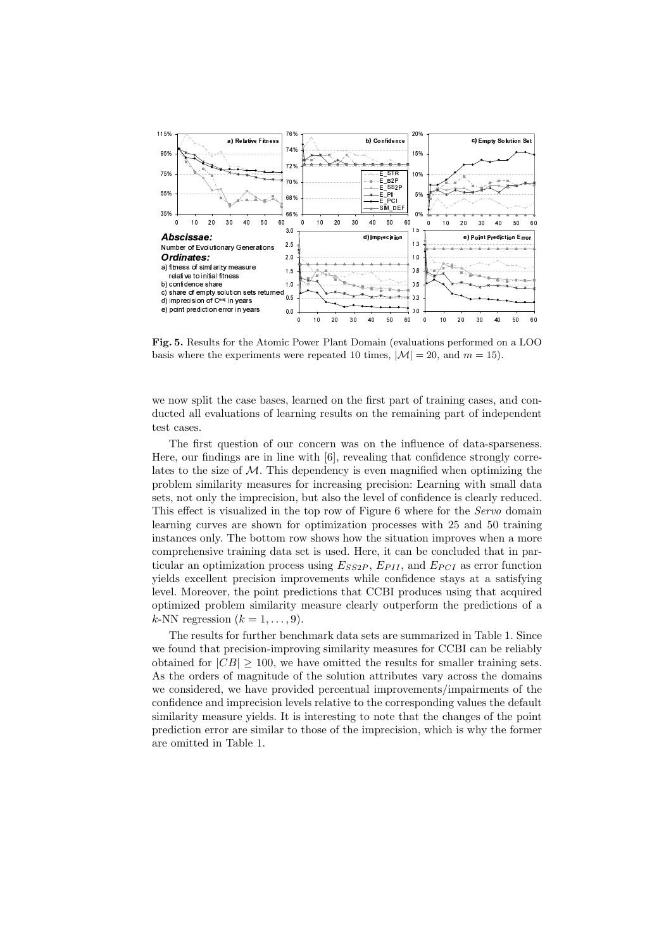

Fig. 5. Results for the Atomic Power Plant Domain (evaluations performed on a LOO basis where the experiments were repeated 10 times,  $|\mathcal{M}| = 20$ , and  $m = 15$ ).

we now split the case bases, learned on the first part of training cases, and conducted all evaluations of learning results on the remaining part of independent test cases.

The first question of our concern was on the influence of data-sparseness. Here, our findings are in line with [6], revealing that confidence strongly correlates to the size of  $M$ . This dependency is even magnified when optimizing the problem similarity measures for increasing precision: Learning with small data sets, not only the imprecision, but also the level of confidence is clearly reduced. This effect is visualized in the top row of Figure 6 where for the Servo domain learning curves are shown for optimization processes with 25 and 50 training instances only. The bottom row shows how the situation improves when a more comprehensive training data set is used. Here, it can be concluded that in particular an optimization process using  $E_{SS2P}$ ,  $E_{PII}$ , and  $E_{PCI}$  as error function yields excellent precision improvements while confidence stays at a satisfying level. Moreover, the point predictions that CCBI produces using that acquired optimized problem similarity measure clearly outperform the predictions of a k-NN regression  $(k = 1, \ldots, 9)$ .

The results for further benchmark data sets are summarized in Table 1. Since we found that precision-improving similarity measures for CCBI can be reliably obtained for  $|CB| > 100$ , we have omitted the results for smaller training sets. As the orders of magnitude of the solution attributes vary across the domains we considered, we have provided percentual improvements/impairments of the confidence and imprecision levels relative to the corresponding values the default similarity measure yields. It is interesting to note that the changes of the point prediction error are similar to those of the imprecision, which is why the former are omitted in Table 1.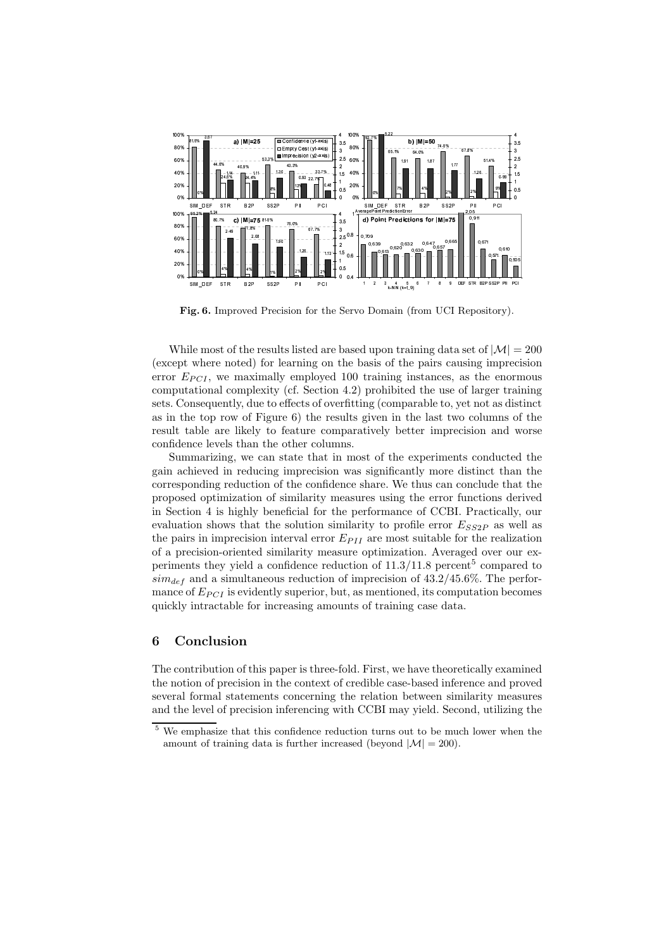

Fig. 6. Improved Precision for the Servo Domain (from UCI Repository).

While most of the results listed are based upon training data set of  $|\mathcal{M}| = 200$ (except where noted) for learning on the basis of the pairs causing imprecision error  $E_{PCI}$ , we maximally employed 100 training instances, as the enormous computational complexity (cf. Section 4.2) prohibited the use of larger training sets. Consequently, due to effects of overfitting (comparable to, yet not as distinct as in the top row of Figure 6) the results given in the last two columns of the result table are likely to feature comparatively better imprecision and worse confidence levels than the other columns.

Summarizing, we can state that in most of the experiments conducted the gain achieved in reducing imprecision was significantly more distinct than the corresponding reduction of the confidence share. We thus can conclude that the proposed optimization of similarity measures using the error functions derived in Section 4 is highly beneficial for the performance of CCBI. Practically, our evaluation shows that the solution similarity to profile error  $E_{SS2P}$  as well as the pairs in imprecision interval error  $E_{PII}$  are most suitable for the realization of a precision-oriented similarity measure optimization. Averaged over our experiments they yield a confidence reduction of  $11.3/11.8$  percent<sup>5</sup> compared to  $sim_{def}$  and a simultaneous reduction of imprecision of 43.2/45.6%. The performance of  $E_{PCI}$  is evidently superior, but, as mentioned, its computation becomes quickly intractable for increasing amounts of training case data.

# 6 Conclusion

The contribution of this paper is three-fold. First, we have theoretically examined the notion of precision in the context of credible case-based inference and proved several formal statements concerning the relation between similarity measures and the level of precision inferencing with CCBI may yield. Second, utilizing the

<sup>5</sup> We emphasize that this confidence reduction turns out to be much lower when the amount of training data is further increased (beyond  $|\mathcal{M}| = 200$ ).